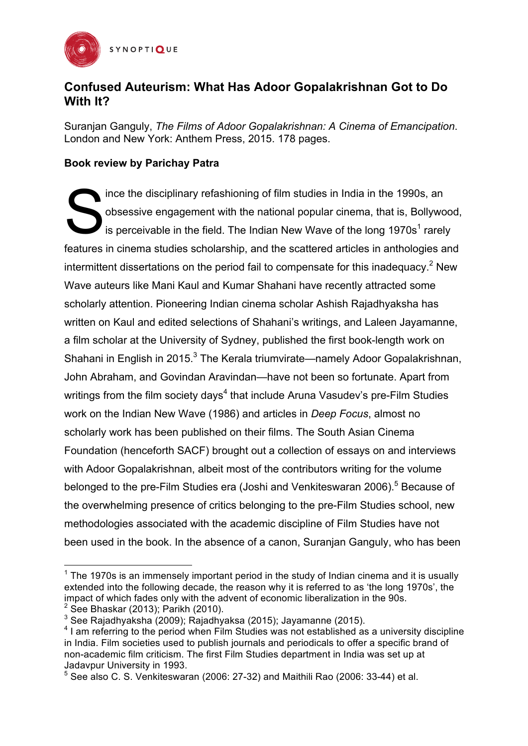

## **Confused Auteurism: What Has Adoor Gopalakrishnan Got to Do With It?**

Suranjan Ganguly, *The Films of Adoor Gopalakrishnan: A Cinema of Emancipation*. London and New York: Anthem Press, 2015. 178 pages.

## **Book review by Parichay Patra**

ince the disciplinary refashioning of film studies in India in the 1990s, an obsessive engagement with the national popular cinema, that is, Bollywood, is perceivable in the field. The Indian New Wave of the long  $1970s<sup>1</sup>$  rarely features in cinema studies scholarship, and the scattered articles in anthologies and intermittent dissertations on the period fail to compensate for this inadequacy.<sup>2</sup> New Wave auteurs like Mani Kaul and Kumar Shahani have recently attracted some scholarly attention. Pioneering Indian cinema scholar Ashish Rajadhyaksha has written on Kaul and edited selections of Shahani's writings, and Laleen Jayamanne, a film scholar at the University of Sydney, published the first book-length work on Shahani in English in 2015.<sup>3</sup> The Kerala triumvirate—namely Adoor Gopalakrishnan, John Abraham, and Govindan Aravindan—have not been so fortunate. Apart from writings from the film society days<sup>4</sup> that include Aruna Vasudey's pre-Film Studies work on the Indian New Wave (1986) and articles in *Deep Focus*, almost no scholarly work has been published on their films. The South Asian Cinema Foundation (henceforth SACF) brought out a collection of essays on and interviews with Adoor Gopalakrishnan, albeit most of the contributors writing for the volume belonged to the pre-Film Studies era (Joshi and Venkiteswaran 2006).<sup>5</sup> Because of the overwhelming presence of critics belonging to the pre-Film Studies school, new methodologies associated with the academic discipline of Film Studies have not been used in the book. In the absence of a canon, Suranjan Ganguly, who has been S

<u> 1989 - Johann Stein, fransk politiker (d. 1989)</u>

 $1$  The 1970s is an immensely important period in the study of Indian cinema and it is usually extended into the following decade, the reason why it is referred to as 'the long 1970s', the impact of which fades only with the advent of economic liberalization in the 90s.  $2$  See Bhaskar (2013); Parikh (2010).

 $3$  See Rajadhyaksha (2009); Rajadhyaksa (2015); Jayamanne (2015).

<sup>&</sup>lt;sup>4</sup> I am referring to the period when Film Studies was not established as a university discipline in India. Film societies used to publish journals and periodicals to offer a specific brand of non-academic film criticism. The first Film Studies department in India was set up at Jadavpur University in 1993.

 $5$  See also C. S. Venkiteswaran (2006: 27-32) and Maithili Rao (2006: 33-44) et al.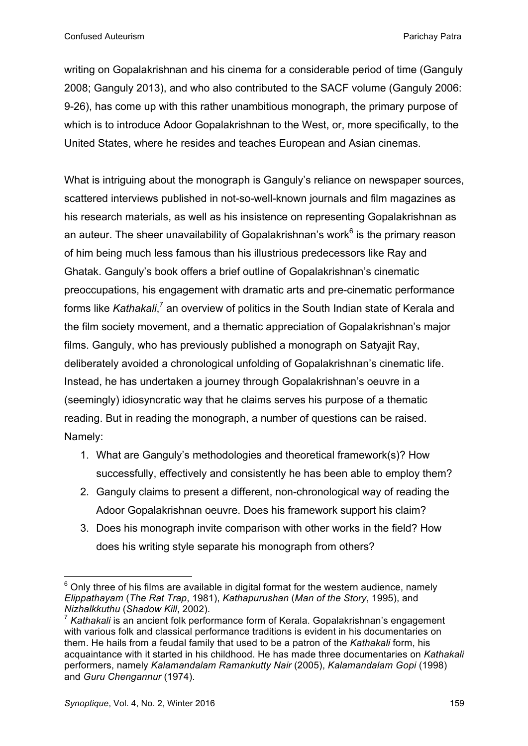writing on Gopalakrishnan and his cinema for a considerable period of time (Ganguly 2008; Ganguly 2013), and who also contributed to the SACF volume (Ganguly 2006: 9-26), has come up with this rather unambitious monograph, the primary purpose of which is to introduce Adoor Gopalakrishnan to the West, or, more specifically, to the United States, where he resides and teaches European and Asian cinemas.

What is intriguing about the monograph is Ganguly's reliance on newspaper sources, scattered interviews published in not-so-well-known journals and film magazines as his research materials, as well as his insistence on representing Gopalakrishnan as an auteur. The sheer unavailability of Gopalakrishnan's work $6$  is the primary reason of him being much less famous than his illustrious predecessors like Ray and Ghatak. Ganguly's book offers a brief outline of Gopalakrishnan's cinematic preoccupations, his engagement with dramatic arts and pre-cinematic performance forms like *Kathakali*,<sup>7</sup> an overview of politics in the South Indian state of Kerala and the film society movement, and a thematic appreciation of Gopalakrishnan's major films. Ganguly, who has previously published a monograph on Satyajit Ray, deliberately avoided a chronological unfolding of Gopalakrishnan's cinematic life. Instead, he has undertaken a journey through Gopalakrishnan's oeuvre in a (seemingly) idiosyncratic way that he claims serves his purpose of a thematic reading. But in reading the monograph, a number of questions can be raised. Namely:

- 1. What are Ganguly's methodologies and theoretical framework(s)? How successfully, effectively and consistently he has been able to employ them?
- 2. Ganguly claims to present a different, non-chronological way of reading the Adoor Gopalakrishnan oeuvre. Does his framework support his claim?
- 3. Does his monograph invite comparison with other works in the field? How does his writing style separate his monograph from others?

<sup>&</sup>lt;u> 1989 - Johann Stein, fransk politiker (d. 1989)</u>  $6$  Only three of his films are available in digital format for the western audience, namely *Elippathayam* (*The Rat Trap*, 1981), *Kathapurushan* (*Man of the Story*, 1995), and *Nizhalkkuthu* (*Shadow Kill*, 2002).

<sup>7</sup> *Kathakali* is an ancient folk performance form of Kerala. Gopalakrishnan's engagement with various folk and classical performance traditions is evident in his documentaries on them. He hails from a feudal family that used to be a patron of the *Kathakali* form, his acquaintance with it started in his childhood. He has made three documentaries on *Kathakali*  performers, namely *Kalamandalam Ramankutty Nair* (2005), *Kalamandalam Gopi* (1998) and *Guru Chengannur* (1974).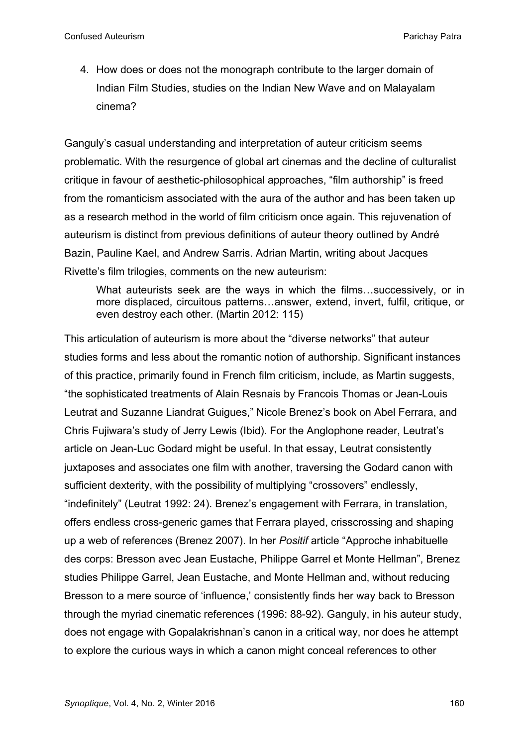4. How does or does not the monograph contribute to the larger domain of Indian Film Studies, studies on the Indian New Wave and on Malayalam cinema?

Ganguly's casual understanding and interpretation of auteur criticism seems problematic. With the resurgence of global art cinemas and the decline of culturalist critique in favour of aesthetic-philosophical approaches, "film authorship" is freed from the romanticism associated with the aura of the author and has been taken up as a research method in the world of film criticism once again. This rejuvenation of auteurism is distinct from previous definitions of auteur theory outlined by André Bazin, Pauline Kael, and Andrew Sarris. Adrian Martin, writing about Jacques Rivette's film trilogies, comments on the new auteurism:

What auteurists seek are the ways in which the films...successively, or in more displaced, circuitous patterns…answer, extend, invert, fulfil, critique, or even destroy each other. (Martin 2012: 115)

This articulation of auteurism is more about the "diverse networks" that auteur studies forms and less about the romantic notion of authorship. Significant instances of this practice, primarily found in French film criticism, include, as Martin suggests, "the sophisticated treatments of Alain Resnais by Francois Thomas or Jean-Louis Leutrat and Suzanne Liandrat Guigues," Nicole Brenez's book on Abel Ferrara, and Chris Fujiwara's study of Jerry Lewis (Ibid). For the Anglophone reader, Leutrat's article on Jean-Luc Godard might be useful. In that essay, Leutrat consistently juxtaposes and associates one film with another, traversing the Godard canon with sufficient dexterity, with the possibility of multiplying "crossovers" endlessly, "indefinitely" (Leutrat 1992: 24). Brenez's engagement with Ferrara, in translation, offers endless cross-generic games that Ferrara played, crisscrossing and shaping up a web of references (Brenez 2007). In her *Positif* article "Approche inhabituelle des corps: Bresson avec Jean Eustache, Philippe Garrel et Monte Hellman", Brenez studies Philippe Garrel, Jean Eustache, and Monte Hellman and, without reducing Bresson to a mere source of 'influence,' consistently finds her way back to Bresson through the myriad cinematic references (1996: 88-92). Ganguly, in his auteur study, does not engage with Gopalakrishnan's canon in a critical way, nor does he attempt to explore the curious ways in which a canon might conceal references to other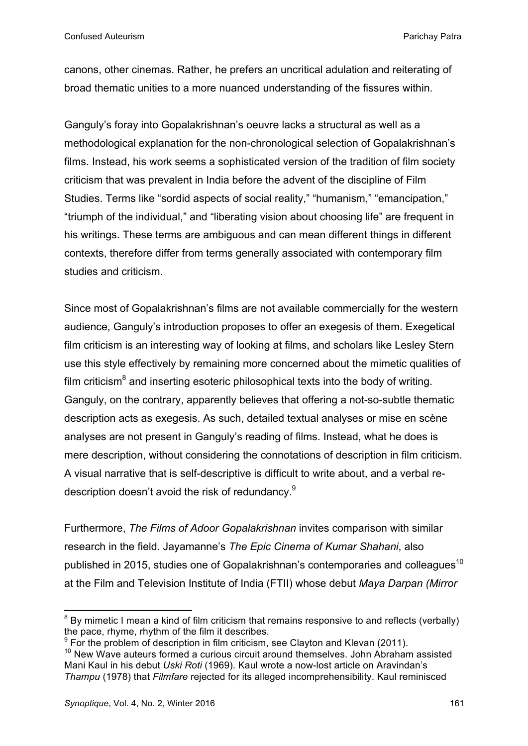canons, other cinemas. Rather, he prefers an uncritical adulation and reiterating of broad thematic unities to a more nuanced understanding of the fissures within.

Ganguly's foray into Gopalakrishnan's oeuvre lacks a structural as well as a methodological explanation for the non-chronological selection of Gopalakrishnan's films. Instead, his work seems a sophisticated version of the tradition of film society criticism that was prevalent in India before the advent of the discipline of Film Studies. Terms like "sordid aspects of social reality," "humanism," "emancipation," "triumph of the individual," and "liberating vision about choosing life" are frequent in his writings. These terms are ambiguous and can mean different things in different contexts, therefore differ from terms generally associated with contemporary film studies and criticism.

Since most of Gopalakrishnan's films are not available commercially for the western audience, Ganguly's introduction proposes to offer an exegesis of them. Exegetical film criticism is an interesting way of looking at films, and scholars like Lesley Stern use this style effectively by remaining more concerned about the mimetic qualities of film criticism $^8$  and inserting esoteric philosophical texts into the body of writing. Ganguly, on the contrary, apparently believes that offering a not-so-subtle thematic description acts as exegesis. As such, detailed textual analyses or mise en scène analyses are not present in Ganguly's reading of films. Instead, what he does is mere description, without considering the connotations of description in film criticism. A visual narrative that is self-descriptive is difficult to write about, and a verbal redescription doesn't avoid the risk of redundancy.<sup>9</sup>

Furthermore, *The Films of Adoor Gopalakrishnan* invites comparison with similar research in the field. Jayamanne's *The Epic Cinema of Kumar Shahani*, also published in 2015, studies one of Gopalakrishnan's contemporaries and colleagues<sup>10</sup> at the Film and Television Institute of India (FTII) whose debut *Maya Darpan (Mirror* 

<u> 1989 - Johann Stein, fransk politiker (d. 1989)</u>

 $8$  By mimetic I mean a kind of film criticism that remains responsive to and reflects (verbally) the pace, rhyme, rhythm of the film it describes.

 $9$  For the problem of description in film criticism, see Clayton and Klevan (2011).

 $10$  New Wave auteurs formed a curious circuit around themselves. John Abraham assisted Mani Kaul in his debut *Uski Roti* (1969). Kaul wrote a now-lost article on Aravindan's *Thampu* (1978) that *Filmfare* rejected for its alleged incomprehensibility. Kaul reminisced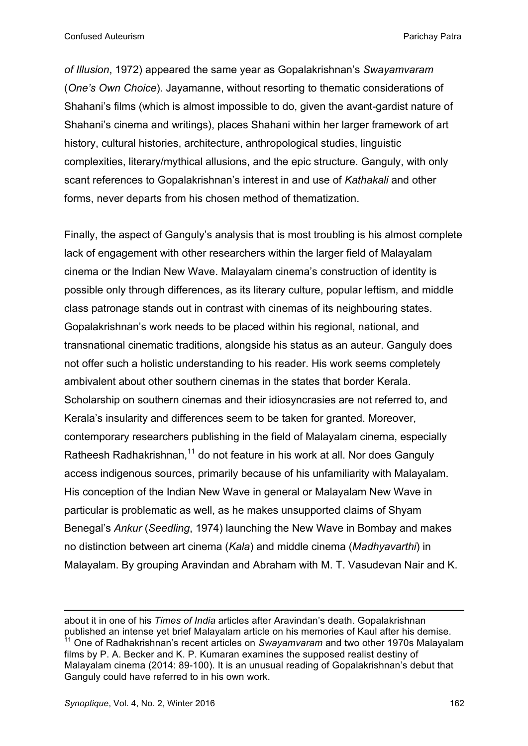*of Illusion*, 1972) appeared the same year as Gopalakrishnan's *Swayamvaram* (*One's Own Choice*). Jayamanne, without resorting to thematic considerations of Shahani's films (which is almost impossible to do, given the avant-gardist nature of Shahani's cinema and writings), places Shahani within her larger framework of art history, cultural histories, architecture, anthropological studies, linguistic complexities, literary/mythical allusions, and the epic structure. Ganguly, with only scant references to Gopalakrishnan's interest in and use of *Kathakali* and other forms, never departs from his chosen method of thematization.

Finally, the aspect of Ganguly's analysis that is most troubling is his almost complete lack of engagement with other researchers within the larger field of Malayalam cinema or the Indian New Wave. Malayalam cinema's construction of identity is possible only through differences, as its literary culture, popular leftism, and middle class patronage stands out in contrast with cinemas of its neighbouring states. Gopalakrishnan's work needs to be placed within his regional, national, and transnational cinematic traditions, alongside his status as an auteur. Ganguly does not offer such a holistic understanding to his reader. His work seems completely ambivalent about other southern cinemas in the states that border Kerala. Scholarship on southern cinemas and their idiosyncrasies are not referred to, and Kerala's insularity and differences seem to be taken for granted. Moreover, contemporary researchers publishing in the field of Malayalam cinema, especially Ratheesh Radhakrishnan,<sup>11</sup> do not feature in his work at all. Nor does Ganguly access indigenous sources, primarily because of his unfamiliarity with Malayalam. His conception of the Indian New Wave in general or Malayalam New Wave in particular is problematic as well, as he makes unsupported claims of Shyam Benegal's *Ankur* (*Seedling*, 1974) launching the New Wave in Bombay and makes no distinction between art cinema (*Kala*) and middle cinema (*Madhyavarthi*) in Malayalam. By grouping Aravindan and Abraham with M. T. Vasudevan Nair and K.

<u> 1989 - Andrea Santa Andrea Andrea Andrea Andrea Andrea Andrea Andrea Andrea Andrea Andrea Andrea Andrea Andr</u>

about it in one of his *Times of India* articles after Aravindan's death. Gopalakrishnan published an intense yet brief Malayalam article on his memories of Kaul after his demise. <sup>11</sup> One of Radhakrishnan's recent articles on *Swayamvaram* and two other 1970s Malayalam films by P. A. Becker and K. P. Kumaran examines the supposed realist destiny of Malayalam cinema (2014: 89-100). It is an unusual reading of Gopalakrishnan's debut that Ganguly could have referred to in his own work.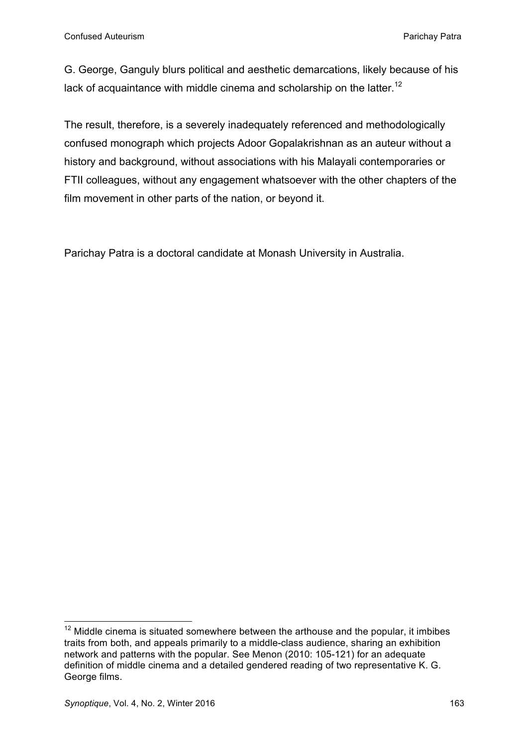G. George, Ganguly blurs political and aesthetic demarcations, likely because of his lack of acquaintance with middle cinema and scholarship on the latter.<sup>12</sup>

The result, therefore, is a severely inadequately referenced and methodologically confused monograph which projects Adoor Gopalakrishnan as an auteur without a history and background, without associations with his Malayali contemporaries or FTII colleagues, without any engagement whatsoever with the other chapters of the film movement in other parts of the nation, or beyond it.

Parichay Patra is a doctoral candidate at Monash University in Australia.

<u> 1989 - Johann Stein, fransk politiker (d. 1989)</u>

 $12$  Middle cinema is situated somewhere between the arthouse and the popular, it imbibes traits from both, and appeals primarily to a middle-class audience, sharing an exhibition network and patterns with the popular. See Menon (2010: 105-121) for an adequate definition of middle cinema and a detailed gendered reading of two representative K. G. George films.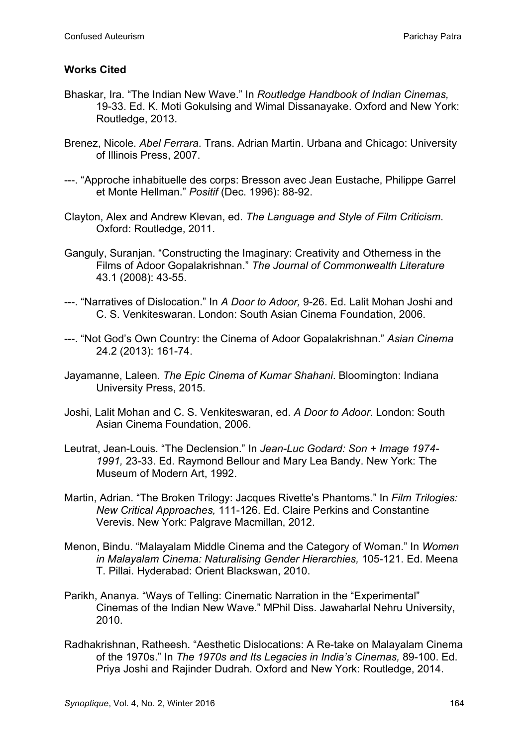## **Works Cited**

- Bhaskar, Ira. "The Indian New Wave." In *Routledge Handbook of Indian Cinemas,*  19-33. Ed. K. Moti Gokulsing and Wimal Dissanayake. Oxford and New York: Routledge, 2013.
- Brenez, Nicole. *Abel Ferrara*. Trans. Adrian Martin. Urbana and Chicago: University of Illinois Press, 2007.
- ---. "Approche inhabituelle des corps: Bresson avec Jean Eustache, Philippe Garrel et Monte Hellman." *Positif* (Dec. 1996): 88-92.
- Clayton, Alex and Andrew Klevan, ed. *The Language and Style of Film Criticism*. Oxford: Routledge, 2011.
- Ganguly, Suranjan. "Constructing the Imaginary: Creativity and Otherness in the Films of Adoor Gopalakrishnan." *The Journal of Commonwealth Literature* 43.1 (2008): 43-55.
- ---. "Narratives of Dislocation." In *A Door to Adoor,* 9-26. Ed. Lalit Mohan Joshi and C. S. Venkiteswaran. London: South Asian Cinema Foundation, 2006.
- ---. "Not God's Own Country: the Cinema of Adoor Gopalakrishnan." *Asian Cinema* 24.2 (2013): 161-74.
- Jayamanne, Laleen. *The Epic Cinema of Kumar Shahani*. Bloomington: Indiana University Press, 2015.
- Joshi, Lalit Mohan and C. S. Venkiteswaran, ed. *A Door to Adoor*. London: South Asian Cinema Foundation, 2006.
- Leutrat, Jean-Louis. "The Declension." In *Jean-Luc Godard: Son + Image 1974- 1991,* 23-33. Ed. Raymond Bellour and Mary Lea Bandy. New York: The Museum of Modern Art, 1992.
- Martin, Adrian. "The Broken Trilogy: Jacques Rivette's Phantoms." In *Film Trilogies: New Critical Approaches,* 111-126. Ed. Claire Perkins and Constantine Verevis. New York: Palgrave Macmillan, 2012.
- Menon, Bindu. "Malayalam Middle Cinema and the Category of Woman." In *Women in Malayalam Cinema: Naturalising Gender Hierarchies,* 105-121. Ed. Meena T. Pillai. Hyderabad: Orient Blackswan, 2010.
- Parikh, Ananya. "Ways of Telling: Cinematic Narration in the "Experimental" Cinemas of the Indian New Wave." MPhil Diss. Jawaharlal Nehru University, 2010.
- Radhakrishnan, Ratheesh. "Aesthetic Dislocations: A Re-take on Malayalam Cinema of the 1970s." In *The 1970s and Its Legacies in India's Cinemas,* 89-100. Ed. Priya Joshi and Rajinder Dudrah. Oxford and New York: Routledge, 2014.